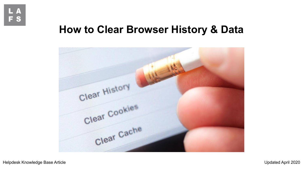

# **How to Clear Browser History & Data**

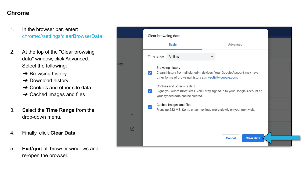#### **Chrome**

- 1. In the browser bar, enter: chrome://settings/clearBrowserData
- 2. At the top of the "Clear browsing data" window, click Advanced. Select the following:
	- $\rightarrow$  Browsing history
	- **→ Download history**
	- $\rightarrow$  Cookies and other site data
	- $\rightarrow$  Cached images and files
- 3. Select the **Time Range** from the drop-down menu.
- 4. Finally, click **Clear Data**.
- 5. **Exit/quit** all browser windows and re-open the browser.

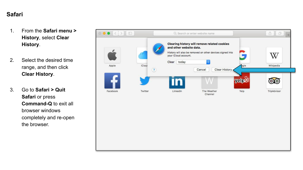#### **Safari**

- 1. From the **Safari menu > History**, select **Clear History**.
- 2. Select the desired time range, and then click **Clear History**.
- 3. Go to **Safari > Quit Safari or press Command-Q** to exit all browser windows completely and re-open the browser.

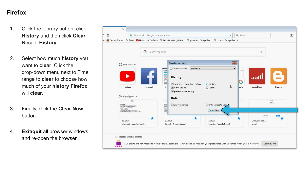## **Firefox**

- 1. Click the Library button, click **History** and then click **Clear** Recent **History**
- 2. Select how much **history** you want to **clear**: Click the drop-down menu next to Time range to **clear** to choose how much of your **history Firefox** will **clear**.
- 3. Finally, click the **Clear Now** button.
- 4. **Exit/quit** all browser windows and re-open the browser.

| ×                                                                                                                                                                                      |                                                                                                                                                                                                                                                                               |                                                                                                                                                        |   |
|----------------------------------------------------------------------------------------------------------------------------------------------------------------------------------------|-------------------------------------------------------------------------------------------------------------------------------------------------------------------------------------------------------------------------------------------------------------------------------|--------------------------------------------------------------------------------------------------------------------------------------------------------|---|
| ' ଢ<br>Q Search with Google or enter address                                                                                                                                           | $\checkmark$                                                                                                                                                                                                                                                                  | Q Search                                                                                                                                               | 立 |
|                                                                                                                                                                                        | d Cetting Started G Gmail C Third143 - YouTube G linkedin - Google Sear G pinterest - Google Sea G tumblr - Google Search                                                                                                                                                     |                                                                                                                                                        |   |
| Search the Web<br>G<br>HI Top Sites ∨<br>youtube<br>facebook<br>☆ Highlights v<br>르<br><b>CARACTERS</b>                                                                                | <b>Clear Recent History</b><br>Last Hour<br>Time range to clear:<br><b>History</b><br>Browsing & Download History<br><b>V</b> Cookies<br>$\mathbb{Z}$<br>lap<br>√ Cache<br>Active Logins<br>Eorm & Search History<br>Data<br>Offline Website Data<br>Site Preferences<br>maca | $\rightarrow$<br>$-23$<br>$\overline{\phantom{0}}$<br>April,<br>andl.<br>G<br>socialblade<br>blogger<br>ogle<br>luit pe<br>Sign.in.<br><b>Chairman</b> |   |
| r Maria and Missouri Association and County Association of the County Association of the County Association of<br>GOOGLE<br>pinterest - Google Search<br>Messages from Firefox<br>**** | 歸目<br>Clear Now<br>GOOGLE<br><b>GOOGLE</b><br>tumblr - Google Search<br>linkedin - Google Search<br>Our brains are not meant to hold so many passwords. That's science. Manage your passwords with Lockwise when you join Firefox.                                            | ACCOUNTS GOOGLE<br>Gmail<br>Learn More                                                                                                                 |   |